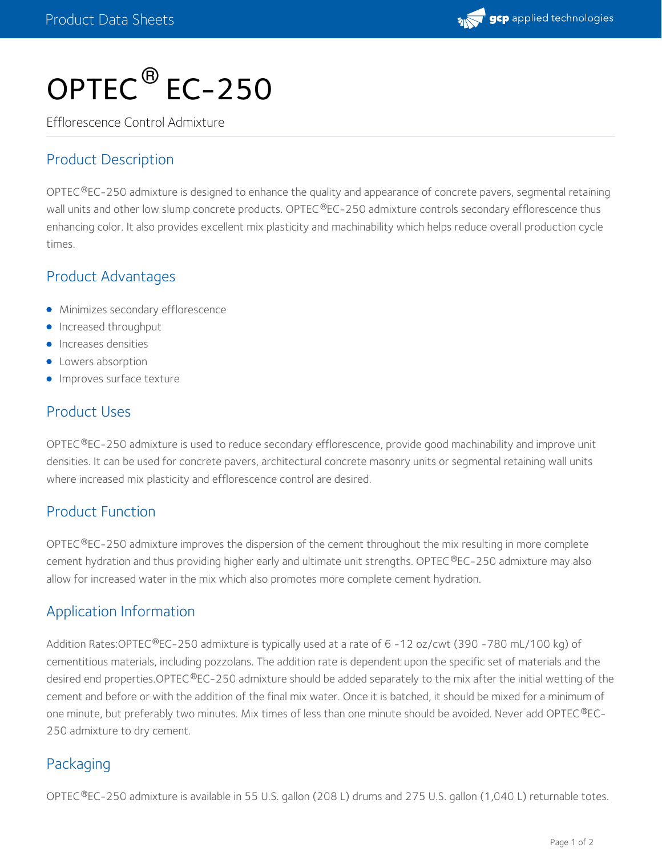

# OPTEC $^\circledR$  EC-250

Efflorescence Control Admixture

# Product Description

OPTEC®EC-250 admixture is designed to enhance the quality and appearance of concrete pavers, segmental retaining wall units and other low slump concrete products. OPTEC®EC-250 admixture controls secondary efflorescence thus enhancing color. It also provides excellent mix plasticity and machinability which helps reduce overall production cycle times.

## Product Advantages

- **•** Minimizes secondary efflorescence
- **Increased throughput**
- **•** Increases densities
- **•** Lowers absorption
- **Improves surface texture**

## Product Uses

OPTEC $^{\circledR}$ EC-250 admixture is used to reduce secondary efflorescence, provide good machinability and improve unit densities. It can be used for concrete pavers, architectural concrete masonry units or segmental retaining wall units where increased mix plasticity and efflorescence control are desired.

#### Product Function

OPTEC®EC-250 admixture improves the dispersion of the cement throughout the mix resulting in more complete  $\,$ cement hydration and thus providing higher early and ultimate unit strengths. OPTEC®EC-250 admixture may also allow for increased water in the mix which also promotes more complete cement hydration.

## Application Information

Addition Rates:OPTEC®EC-250 admixture is typically used at a rate of 6 -12 oz/cwt (390 -780 mL/100 kg) of cementitious materials, including pozzolans. The addition rate is dependent upon the specific set of materials and the desired end properties.OPTEC®EC-250 admixture should be added separately to the mix after the initial wetting of the cement and before or with the addition of the final mix water. Once it is batched, it should be mixed for a minimum of one minute, but preferably two minutes. Mix times of less than one minute should be avoided. Never add OPTEC®EC-250 admixture to dry cement.

## Packaging

OPTEC®EC-250 admixture is available in 55 U.S. gallon (208 L) drums and 275 U.S. gallon (1,040 L) returnable totes.